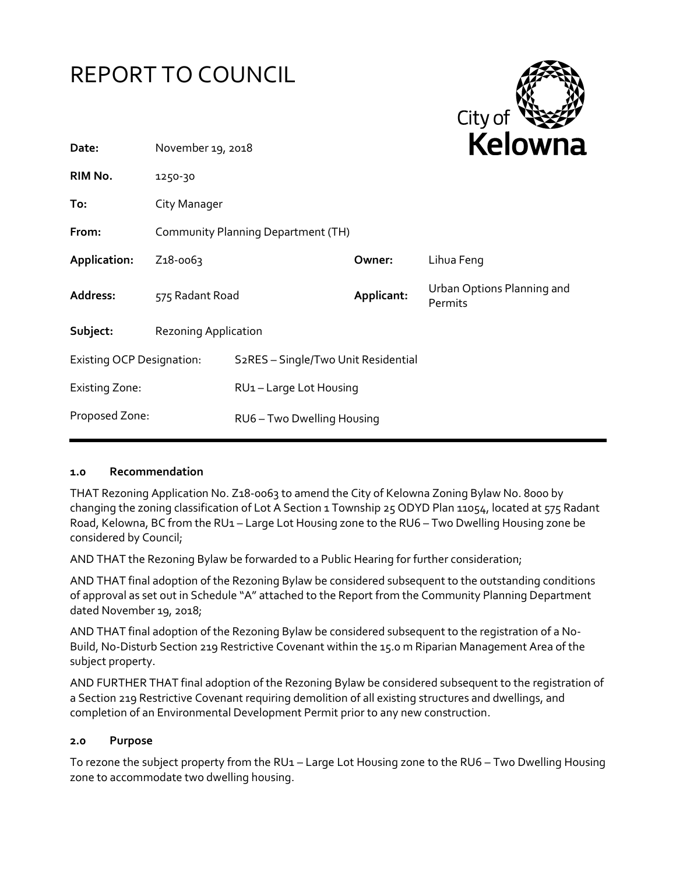



| Date:                            | November 19, 2018                  |                                     | REIUWIIc   |                                       |
|----------------------------------|------------------------------------|-------------------------------------|------------|---------------------------------------|
| RIM No.                          | 1250-30                            |                                     |            |                                       |
| To:                              | City Manager                       |                                     |            |                                       |
| From:                            | Community Planning Department (TH) |                                     |            |                                       |
| Application:                     | Z <sub>1</sub> 8-0063              |                                     | Owner:     | Lihua Feng                            |
| Address:                         | 575 Radant Road                    |                                     | Applicant: | Urban Options Planning and<br>Permits |
| Subject:                         | <b>Rezoning Application</b>        |                                     |            |                                       |
| <b>Existing OCP Designation:</b> |                                    | S2RES - Single/Two Unit Residential |            |                                       |
| Existing Zone:                   |                                    | RU1-Large Lot Housing               |            |                                       |
| Proposed Zone:                   |                                    | RU6-Two Dwelling Housing            |            |                                       |
|                                  |                                    |                                     |            |                                       |

#### **1.0 Recommendation**

THAT Rezoning Application No. Z18-0063 to amend the City of Kelowna Zoning Bylaw No. 8000 by changing the zoning classification of Lot A Section 1 Township 25 ODYD Plan 11054, located at 575 Radant Road, Kelowna, BC from the RU1 – Large Lot Housing zone to the RU6 – Two Dwelling Housing zone be considered by Council;

AND THAT the Rezoning Bylaw be forwarded to a Public Hearing for further consideration;

AND THAT final adoption of the Rezoning Bylaw be considered subsequent to the outstanding conditions of approval as set out in Schedule "A" attached to the Report from the Community Planning Department dated November 19, 2018;

AND THAT final adoption of the Rezoning Bylaw be considered subsequent to the registration of a No-Build, No-Disturb Section 219 Restrictive Covenant within the 15.0 m Riparian Management Area of the subject property.

AND FURTHER THAT final adoption of the Rezoning Bylaw be considered subsequent to the registration of a Section 219 Restrictive Covenant requiring demolition of all existing structures and dwellings, and completion of an Environmental Development Permit prior to any new construction.

#### **2.0 Purpose**

To rezone the subject property from the RU1 – Large Lot Housing zone to the RU6 – Two Dwelling Housing zone to accommodate two dwelling housing.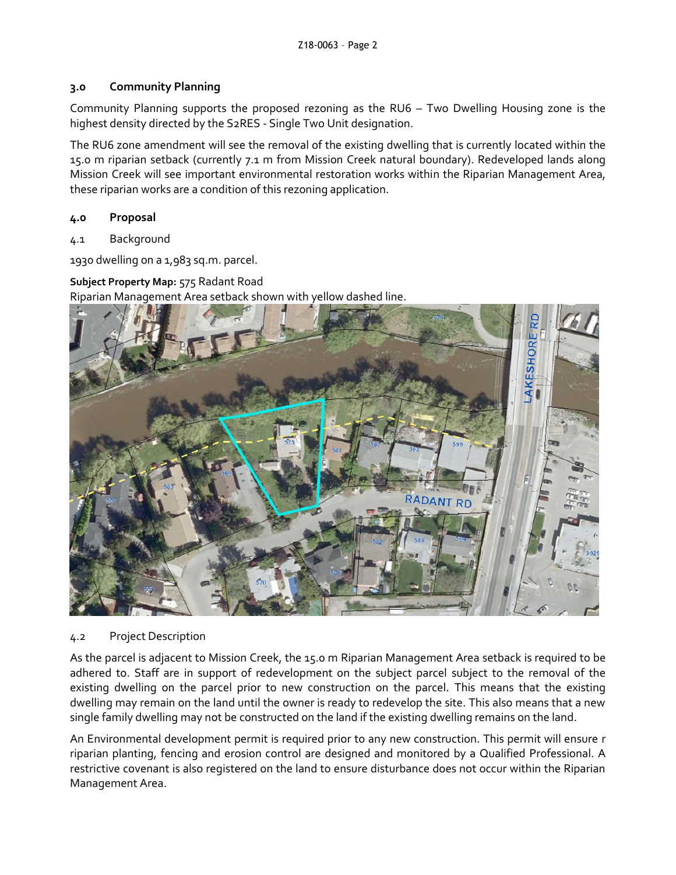### **3.0 Community Planning**

Community Planning supports the proposed rezoning as the RU6 – Two Dwelling Housing zone is the highest density directed by the S2RES - Single Two Unit designation.

The RU6 zone amendment will see the removal of the existing dwelling that is currently located within the 15.0 m riparian setback (currently 7.1 m from Mission Creek natural boundary). Redeveloped lands along Mission Creek will see important environmental restoration works within the Riparian Management Area, these riparian works are a condition of this rezoning application.

### **4.0 Proposal**

4.1 Background

1930 dwelling on a 1,983 sq.m. parcel.

**Subject Property Map:** 575 Radant Road

Riparian Management Area setback shown with yellow dashed line.



#### 4.2 Project Description

As the parcel is adjacent to Mission Creek, the 15.0 m Riparian Management Area setback is required to be adhered to. Staff are in support of redevelopment on the subject parcel subject to the removal of the existing dwelling on the parcel prior to new construction on the parcel. This means that the existing dwelling may remain on the land until the owner is ready to redevelop the site. This also means that a new single family dwelling may not be constructed on the land if the existing dwelling remains on the land.

An Environmental development permit is required prior to any new construction. This permit will ensure r riparian planting, fencing and erosion control are designed and monitored by a Qualified Professional. A restrictive covenant is also registered on the land to ensure disturbance does not occur within the Riparian Management Area.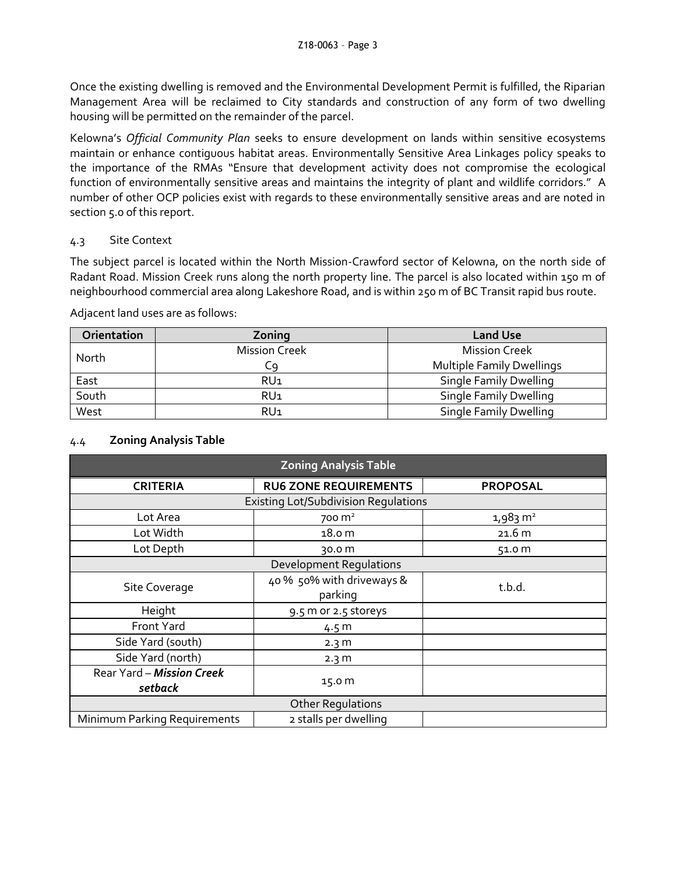Once the existing dwelling is removed and the Environmental Development Permit is fulfilled, the Riparian Management Area will be reclaimed to City standards and construction of any form of two dwelling housing will be permitted on the remainder of the parcel.

Kelowna's *Official Community Plan* seeks to ensure development on lands within sensitive ecosystems maintain or enhance contiguous habitat areas. Environmentally Sensitive Area Linkages policy speaks to the importance of the RMAs "Ensure that development activity does not compromise the ecological function of environmentally sensitive areas and maintains the integrity of plant and wildlife corridors." A number of other OCP policies exist with regards to these environmentally sensitive areas and are noted in section 5.0 of this report.

## 4.3 Site Context

The subject parcel is located within the North Mission-Crawford sector of Kelowna, on the north side of Radant Road. Mission Creek runs along the north property line. The parcel is also located within 150 m of neighbourhood commercial area along Lakeshore Road, and is within 250 m of BC Transit rapid bus route.

Adjacent land uses are as follows:

| Orientation | Zoning               | <b>Land Use</b>                  |
|-------------|----------------------|----------------------------------|
| North       | <b>Mission Creek</b> | <b>Mission Creek</b>             |
|             | Сg                   | <b>Multiple Family Dwellings</b> |
| East        | RU <sub>1</sub>      | <b>Single Family Dwelling</b>    |
| South       | RU <sub>1</sub>      | <b>Single Family Dwelling</b>    |
| West        | RU <sub>1</sub>      | <b>Single Family Dwelling</b>    |

## 4.4 **Zoning Analysis Table**

| <b>Zoning Analysis Table</b>                |                                      |                     |  |  |
|---------------------------------------------|--------------------------------------|---------------------|--|--|
| <b>CRITERIA</b>                             | <b>RU6 ZONE REQUIREMENTS</b>         | <b>PROPOSAL</b>     |  |  |
| <b>Existing Lot/Subdivision Regulations</b> |                                      |                     |  |  |
| Lot Area                                    | 700 m <sup>2</sup>                   | $1,983 \text{ m}^2$ |  |  |
| Lot Width                                   | 18.0 m                               | 21.6 m              |  |  |
| Lot Depth                                   | 30.0 m                               | 51.0 m              |  |  |
| <b>Development Regulations</b>              |                                      |                     |  |  |
| Site Coverage                               | 40 % 50% with driveways &<br>parking | t.b.d.              |  |  |
| Height                                      | 9.5 m or 2.5 storeys                 |                     |  |  |
| Front Yard                                  | 4.5 m                                |                     |  |  |
| Side Yard (south)                           | 2.3 <sub>m</sub>                     |                     |  |  |
| Side Yard (north)                           | 2.3 <sub>m</sub>                     |                     |  |  |
| Rear Yard - Mission Creek<br>setback        | 15.0 m                               |                     |  |  |
| <b>Other Regulations</b>                    |                                      |                     |  |  |
| Minimum Parking Requirements                | 2 stalls per dwelling                |                     |  |  |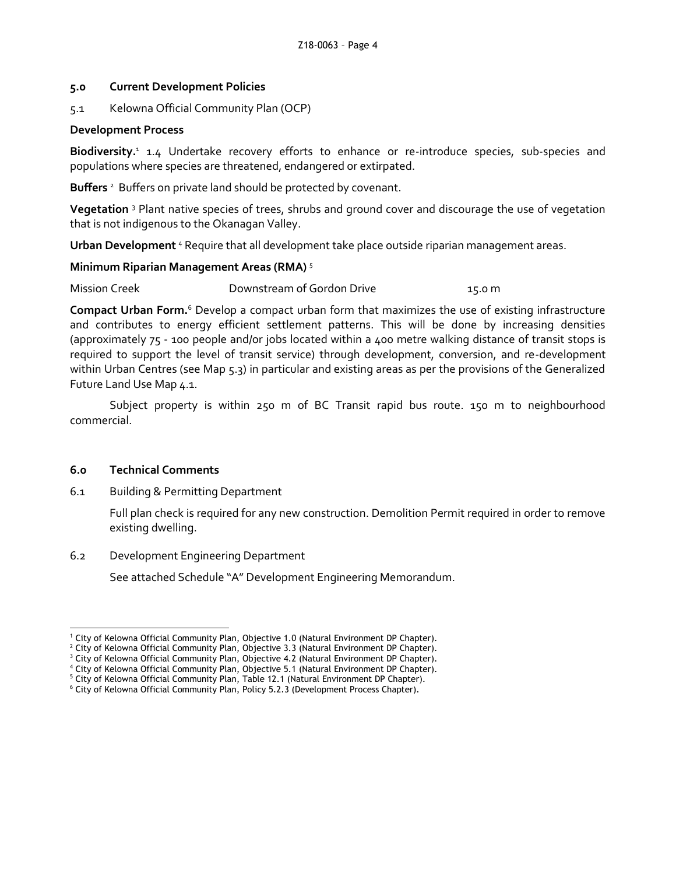#### **5.0 Current Development Policies**

5.1 Kelowna Official Community Plan (OCP)

#### **Development Process**

Biodiversity.<sup>1</sup> 1.4 Undertake recovery efforts to enhance or re-introduce species, sub-species and populations where species are threatened, endangered or extirpated.

Buffers<sup>2</sup> Buffers on private land should be protected by covenant.

**Vegetation** <sup>3</sup> Plant native species of trees, shrubs and ground cover and discourage the use of vegetation that is not indigenous to the Okanagan Valley.

**Urban Development** <sup>4</sup> Require that all development take place outside riparian management areas.

#### **Minimum Riparian Management Areas (RMA)** <sup>5</sup>

Mission Creek Downstream of Gordon Drive 15.0 m

**Compact Urban Form.**<sup>6</sup> Develop a compact urban form that maximizes the use of existing infrastructure and contributes to energy efficient settlement patterns. This will be done by increasing densities (approximately 75 - 100 people and/or jobs located within a 400 metre walking distance of transit stops is required to support the level of transit service) through development, conversion, and re-development within Urban Centres (see Map 5.3) in particular and existing areas as per the provisions of the Generalized Future Land Use Map 4.1.

Subject property is within 250 m of BC Transit rapid bus route. 150 m to neighbourhood commercial.

#### **6.0 Technical Comments**

6.1 Building & Permitting Department

Full plan check is required for any new construction. Demolition Permit required in order to remove existing dwelling.

6.2 Development Engineering Department

See attached Schedule "A" Development Engineering Memorandum.

<sup>-</sup><sup>1</sup> City of Kelowna Official Community Plan, Objective 1.0 (Natural Environment DP Chapter).

<sup>&</sup>lt;sup>2</sup> City of Kelowna Official Community Plan, Objective 3.3 (Natural Environment DP Chapter).

 $3$  City of Kelowna Official Community Plan, Objective 4.2 (Natural Environment DP Chapter).

<sup>4</sup> City of Kelowna Official Community Plan, Objective 5.1 (Natural Environment DP Chapter).

<sup>&</sup>lt;sup>5</sup> City of Kelowna Official Community Plan, Table 12.1 (Natural Environment DP Chapter). <sup>6</sup> City of Kelowna Official Community Plan, Policy 5.2.3 (Development Process Chapter).